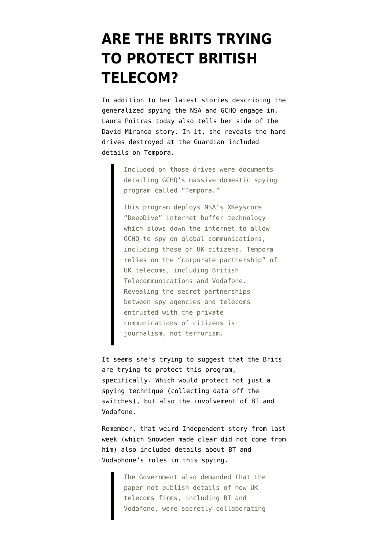## **[ARE THE BRITS TRYING](https://www.emptywheel.net/2013/08/26/are-the-brits-trying-to-protect-british-telecom/) [TO PROTECT BRITISH](https://www.emptywheel.net/2013/08/26/are-the-brits-trying-to-protect-british-telecom/) [TELECOM?](https://www.emptywheel.net/2013/08/26/are-the-brits-trying-to-protect-british-telecom/)**

In addition to her [latest stories](http://www.spiegel.de/international/world/secret-nsa-documents-show-how-the-us-spies-on-europe-and-the-un-a-918625-2.html) describing the generalized spying the NSA and GCHQ engage in, Laura Poitras today also [tells her side](http://www.spiegel.de/international/world/laura-poitras-on-british-attacks-on-press-freedom-and-the-nsa-affair-a-918592.html) of the David Miranda story. In it, she reveals the hard drives destroyed at the Guardian included details on Tempora.

> Included on those drives were documents detailing GCHQ's massive domestic spying program called "Tempora."

> This program deploys NSA's XKeyscore "DeepDive" internet buffer technology which slows down the internet to allow GCHQ to spy on global communications, including those of UK citizens. Tempora relies on the "corporate partnership" of UK telecoms, including British Telecommunications and Vodafone. Revealing the secret partnerships between spy agencies and telecoms entrusted with the private communications of citizens is journalism, not terrorism.

It seems she's trying to suggest that the Brits are trying to protect this program, specifically. Which would protect not just a spying technique (collecting data off the switches), but also the involvement of BT and Vodafone.

Remember, that weird [Independent story](http://www.independent.co.uk/news/uk/politics/exclusive-uks-secret-mideast-internet-surveillance-base-is-revealed-in-edward-snowden-leaks-8781082.html) from last week [\(which Snowden made clear did not come from](http://www.theguardian.com/commentisfree/2013/aug/23/uk-government-independent-military-base) [him\)](http://www.theguardian.com/commentisfree/2013/aug/23/uk-government-independent-military-base) also included details about BT and Vodaphone's roles in this spying.

> The Government also demanded that the paper not publish details of how UK telecoms firms, including BT and Vodafone, were secretly collaborating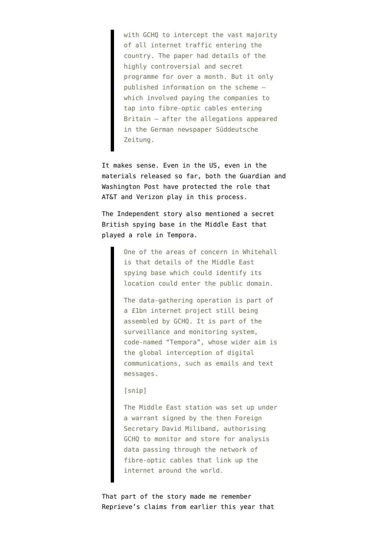with GCHQ to intercept the vast majority of all internet traffic entering the country. The paper had details of the highly controversial and secret programme for over a month. But it only published information on the scheme – which involved paying the companies to tap into fibre-optic cables entering Britain – after the allegations appeared in the German newspaper Süddeutsche Zeitung.

It makes sense. Even in the US, even in the materials released so far, both the Guardian and Washington Post have protected the role that AT&T and Verizon play in this process.

The Independent story also mentioned a secret British spying base in the Middle East that played a role in Tempora.

> One of the areas of concern in Whitehall is that details of the Middle East spying base which could identify its location could enter the public domain.

> The data-gathering operation is part of a £1bn internet project still being assembled by GCHQ. It is part of the surveillance and monitoring system, code-named "Tempora", whose wider aim is the global interception of digital communications, such as emails and text messages.

## [snip]

The Middle East station was set up under a warrant signed by the then Foreign Secretary David Miliband, authorising GCHQ to monitor and store for analysis data passing through the network of fibre-optic cables that link up the internet around the world.

That part of the story made me remember [Reprieve's claims from earlier this year](http://www.reprieve.org.uk/blog/2013_05_22_bt_drone_strikes_camp_lemonnier_yemen/) that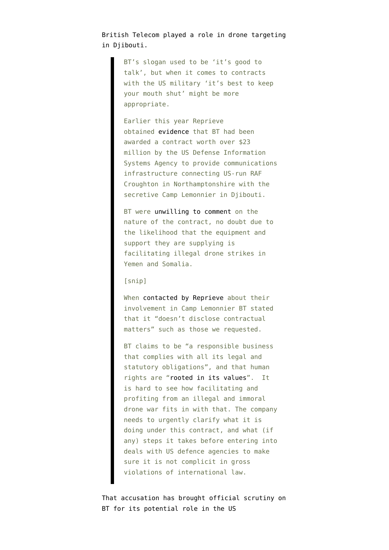British Telecom played a role in drone targeting in Djibouti.

> BT's slogan used to be 'it's good to talk', but when it comes to contracts with the US military 'it's best to keep your mouth shut' might be more appropriate.

Earlier this year Reprieve obtained [evidence](http://www.reprieve.org.uk/media/downloads/Circuit_Demand_Redacted_Secured.pdf) that BT had been awarded a contract worth over \$23 million by the US Defense Information Systems Agency to provide communications infrastructure connecting US-run RAF Croughton in Northamptonshire with the secretive Camp Lemonnier in Djibouti.

BT were [unwilling to comment](http://www.reprieve.org.uk/media/downloads/2013_01_24_PUB_BT_reply_re_STM_cable.pdf) on the nature of the contract, no doubt due to the likelihood that the equipment and support they are supplying is facilitating illegal drone strikes in Yemen and Somalia.

## [snip]

When [contacted by Reprieve](http://www.reprieve.org.uk/media/downloads/2013_01_17_PUB_Letter_to_BT_re_contract_for_STM-16_Camp_Lemonnier.pdf) about their involvement in Camp Lemonnier BT stated that it "doesn't disclose contractual matters" such as those we requested.

BT claims to be "a responsible business that complies with all its legal and statutory obligations", and that human rights are ["rooted in its values](http://www.btplc.com/Responsiblebusiness/Ourstory/Sustainabilityreport/report/Bbus/human.aspx)". It is hard to see how facilitating and profiting from an illegal and immoral drone war fits in with that. The company needs to urgently clarify what it is doing under this contract, and what (if any) steps it takes before entering into deals with US defence agencies to make sure it is not complicit in gross violations of international law.

That accusation has [brought official scrutiny](http://www.computerweekly.com/blogs/public-sector/2013/07/investigation-to-seek-bt-link.html) on BT for its potential role in the US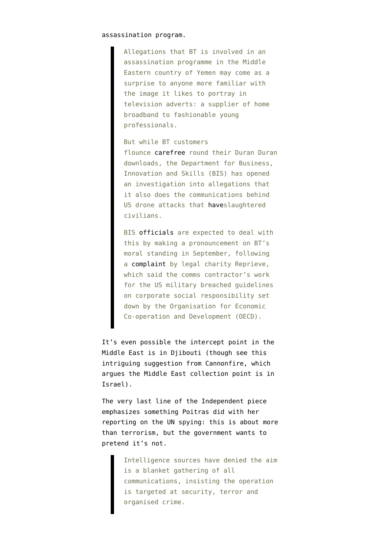## assassination program.

Allegations that BT is involved in an assassination programme in the Middle Eastern country of Yemen may come as a surprise to anyone more familiar with the image it likes to portray in television adverts: a supplier of home broadband to fashionable young professionals.

But while BT customers flounce [carefree](http://www.youtube.com/watch?v=aaMniuHMf44) round their Duran Duran downloads, the Department for Business, Innovation and Skills (BIS) has opened an investigation into allegations that it also does the communications behind US drone attacks that [have](http://www.thebureauinvestigates.com/2013/01/03/yemen-reported-us-covert-actions-2013/)slaughtered civilians.

BIS [officials](https://www.gov.uk/uk-national-contact-point-for-the-organisation-for-economic-co-operation-and-development-oecd-guidelines-for-multinational-enterprises) are expected to deal with this by making a pronouncement on BT's moral standing in September, following a [complaint](http://www.reprieve.org.uk/press/2013_07_22_bt_drone_strike_covert_strike_yemen/) by legal charity Reprieve, which said the comms contractor's work for the US military breached guidelines on corporate social responsibility set down by the Organisation for Economic Co-operation and Development (OECD).

It's even possible the intercept point in the Middle East is in Djibouti (though see this [intriguing suggestion from Cannonfire](http://cannonfire.blogspot.com/2013/08/gc-wiki-and-location-of-that-secret.html), which argues the Middle East collection point is in Israel).

The very last line of the Independent piece emphasizes something Poitras did with her reporting on the UN spying: this is about more than terrorism, but the government wants to pretend it's not.

> Intelligence sources have denied the aim is a blanket gathering of all communications, insisting the operation is targeted at security, terror and organised crime.